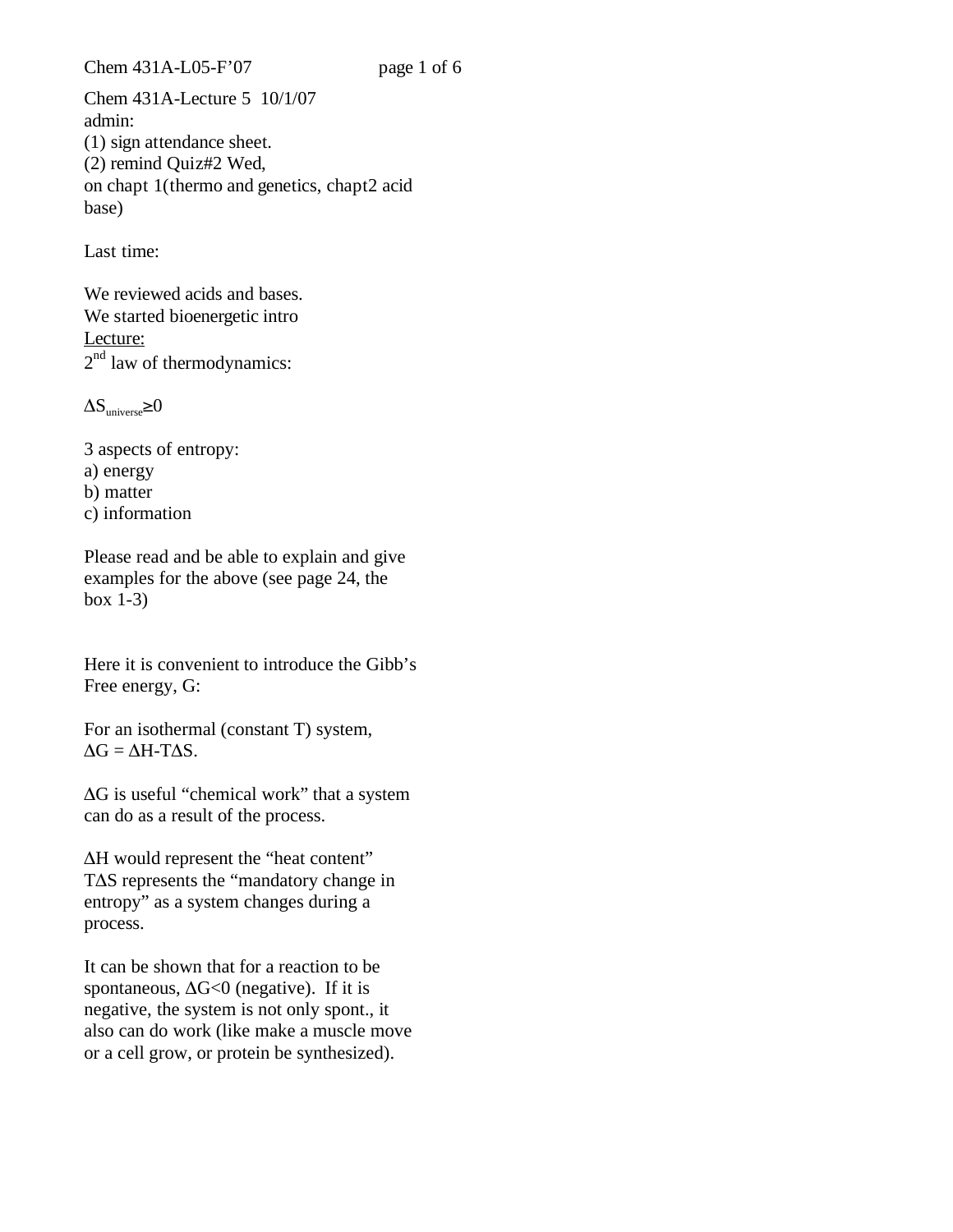Chem 431A-L05-F'07 page 1 of 6

Chem 431A-Lecture 5 10/1/07 admin: (1) sign attendance sheet. (2) remind Quiz#2 Wed, on chapt 1(thermo and genetics, chapt2 acid base)

Last time:

We reviewed acids and bases. We started bioenergetic intro Lecture: 2<sup>nd</sup> law of thermodynamics:

 $\Delta \rm S_{universe}{\ge}0$ 

3 aspects of entropy: a) energy b) matter c) information

Please read and be able to explain and give examples for the above (see page 24, the box 1-3)

Here it is convenient to introduce the Gibb's Free energy, G:

For an isothermal (constant T) system,  $\Delta G = \Delta H - T \Delta S$ .

-G is useful "chemical work" that a system can do as a result of the process.

ΔH would represent the "heat content" T $\Delta S$  represents the "mandatory change in entropy" as a system changes during a process.

It can be shown that for a reaction to be spontaneous,  $\Delta G \le 0$  (negative). If it is negative, the system is not only spont., it also can do work (like make a muscle move or a cell grow, or protein be synthesized).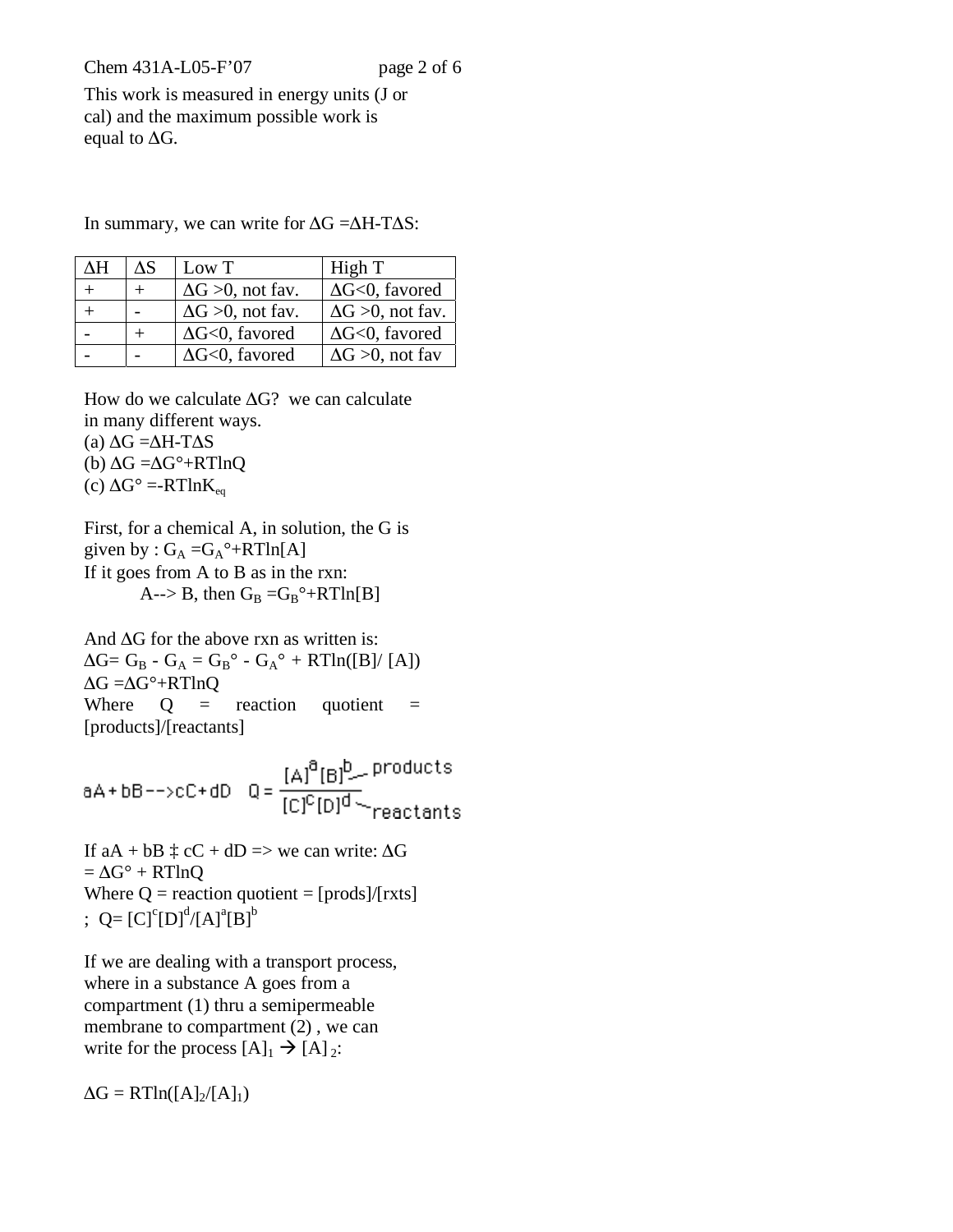Chem 431A-L05-F'07 page 2 of 6

This work is measured in energy units (J or cal) and the maximum possible work is equal to  $\Delta G$ .

| ΛH | ЛS | Low T                      | High T                     |
|----|----|----------------------------|----------------------------|
|    |    | $\Delta G > 0$ , not fav.  | $\Delta G \le 0$ , favored |
|    |    | $\Delta G > 0$ , not fav.  | $\Delta G > 0$ , not fav.  |
|    |    | $\Delta G \le 0$ , favored | $\Delta G \le 0$ , favored |
|    |    | $\Delta G \le 0$ , favored | $\Delta G > 0$ , not fav   |

In summary, we can write for  $\Delta G = \Delta H - T \Delta S$ :

How do we calculate  $\Delta G$ ? we can calculate in many different ways.

(a)  $\Delta G = \Delta H - T \Delta S$ 

(b)  $\Delta G = \Delta G^{\circ} + RTlnQ$ 

(c)  $\Delta G^{\circ} = -RTlnK_{eq}$ 

First, for a chemical A, in solution, the G is given by :  $G_A = G_A^{\circ} + RTln[A]$ If it goes from A to B as in the rxn: A--> B, then  $G_B = G_B^{\circ} + RTln[B]$ 

And  $\Delta G$  for the above rxn as written is:  $\Delta G = G_B - G_A = G_B^{\circ} - G_A^{\circ} + RTln([B]/[A])$  $\Delta G = \Delta G^{\circ} + RTlnQ$ Where  $Q =$  reaction quotient  $=$ [products]/[reactants]

If aA + bB  $\ddagger$  cC + dD => we can write:  $\Delta G$  $=\Delta G^{\circ} + RTlnQ$ Where  $Q =$  reaction quotient = [prods]/[rxts] ; Q= $[C]^{c}[D]^{d}/[A]^{a}[B]^{b}$ 

If we are dealing with a transport process, where in a substance A goes from a compartment (1) thru a semipermeable membrane to compartment (2) , we can write for the process  $[A]_1 \rightarrow [A]_2$ :

 $\Delta G = RTln([A]_2/[A]_1)$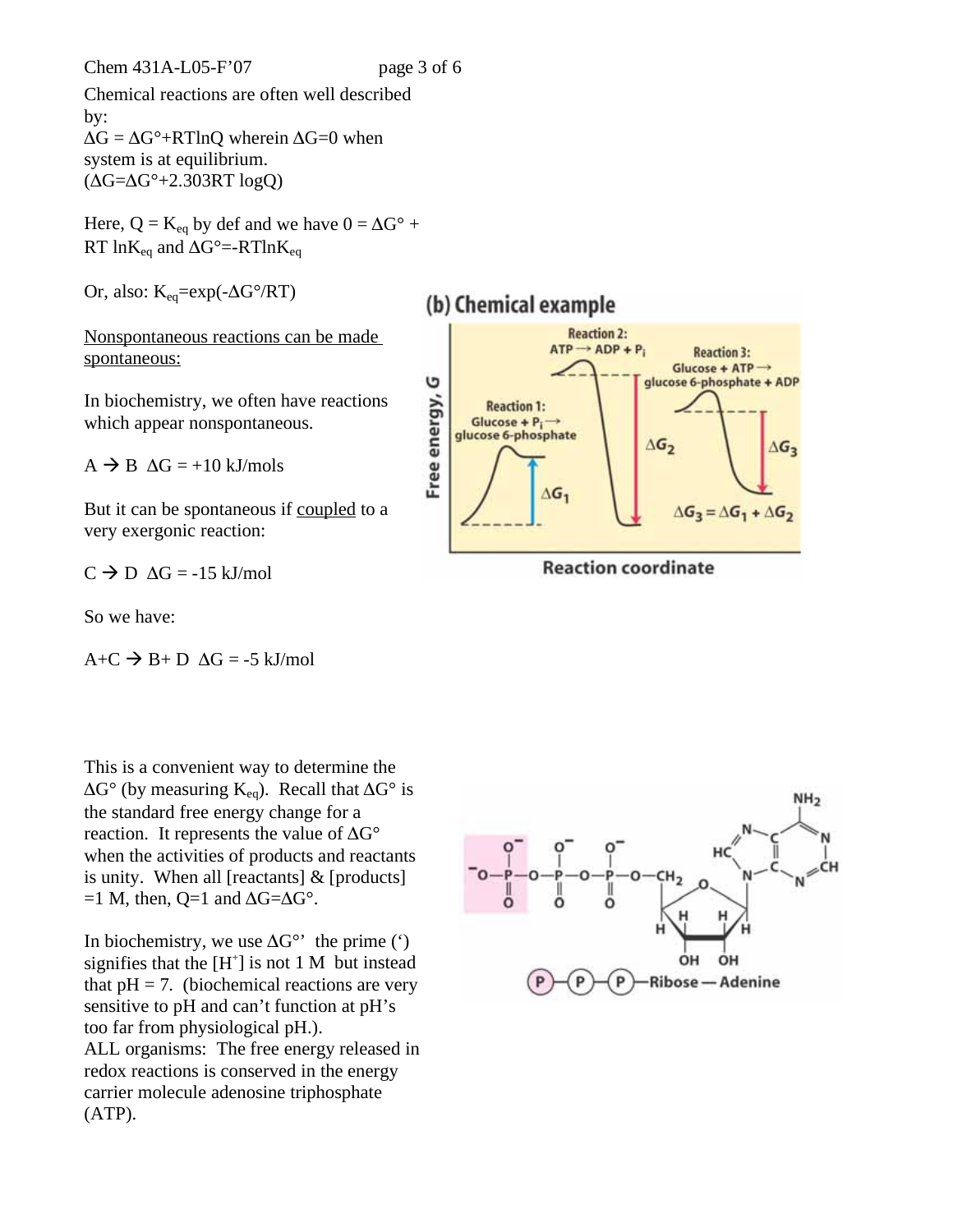Chem 431A-L05-F'07 page 3 of 6

Chemical reactions are often well described by:  $\Delta G = \Delta G^{\circ} + RT \ln Q$  wherein  $\Delta G = 0$  when system is at equilibrium.  $(\Delta G = \Delta G^{\circ} + 2.303RT \log Q)$ 

Here,  $Q = K_{eq}$  by def and we have  $0 = \Delta G^{\circ}$  + RT  $ln K_{eq}$  and  $\Delta G^{\circ}$ =-RTln $K_{eq}$ 

Or, also:  $K_{eq} = exp(-\Delta G^{\circ}/RT)$ 

Nonspontaneous reactions can be made spontaneous:

In biochemistry, we often have reactions which appear nonspontaneous.

 $A \rightarrow B \Delta G = +10 \text{ kJ/mols}$ 

But it can be spontaneous if coupled to a very exergonic reaction:

 $C \rightarrow D \Delta G = -15 \text{ kJ/mol}$ 

So we have:

$$
A+C \rightarrow B+D \Delta G = -5 \text{ kJ/mol}
$$

This is a convenient way to determine the  $\Delta G^{\circ}$  (by measuring K<sub>eq</sub>). Recall that  $\Delta G^{\circ}$  is the standard free energy change for a reaction. It represents the value of  $\Delta G^{\circ}$ when the activities of products and reactants is unity. When all [reactants] & [products]  $=1$  M, then, Q=1 and  $\Delta G = \Delta G^{\circ}$ .

In biochemistry, we use  $\Delta G^{\circ\circ}$  the prime (') signifies that the  $[H^+]$  is not 1 M but instead that  $pH = 7$ . (biochemical reactions are very sensitive to pH and can't function at pH's too far from physiological pH.). ALL organisms: The free energy released in redox reactions is conserved in the energy carrier molecule adenosine triphosphate (ATP).



**Reaction coordinate** 

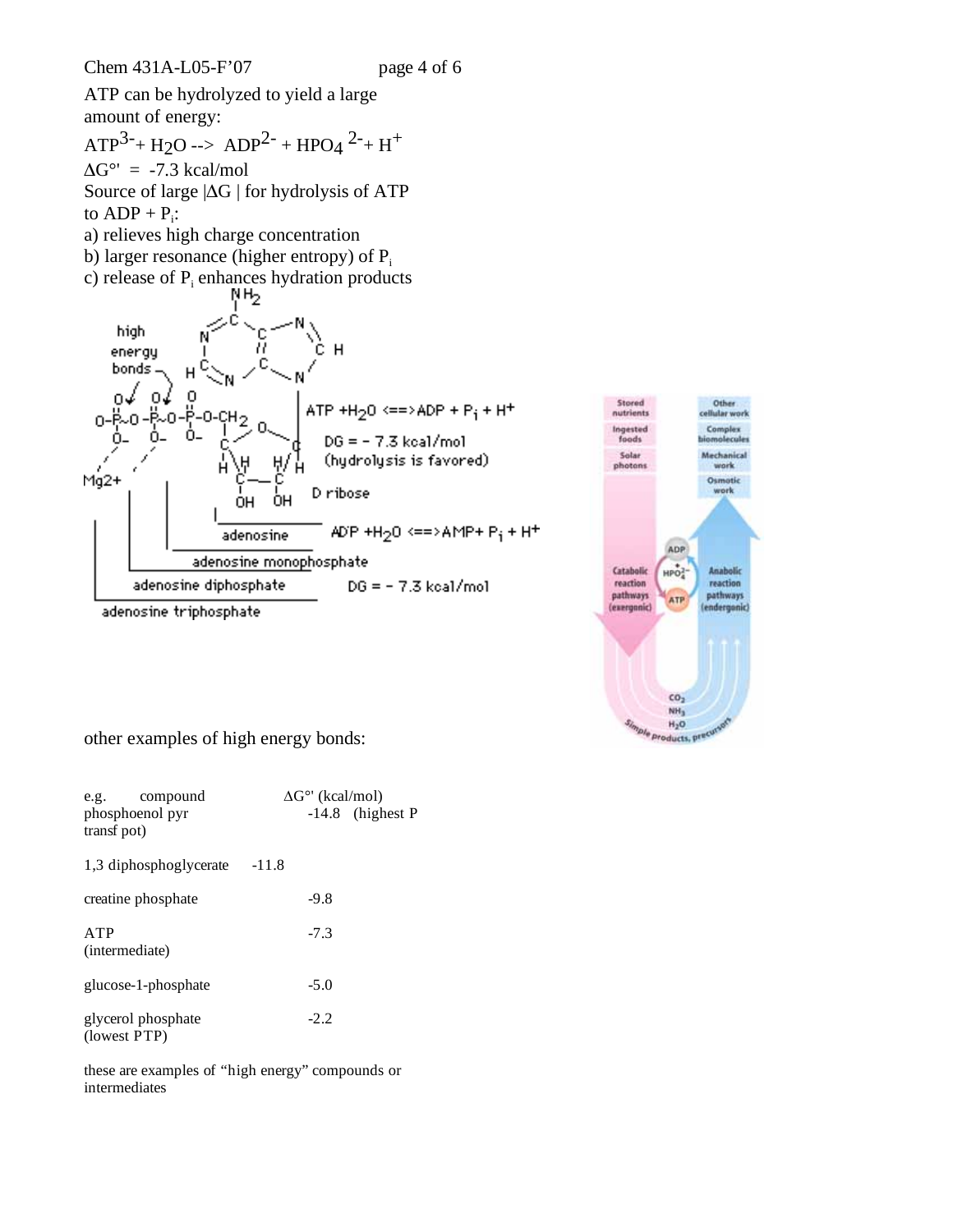ATP can be hydrolyzed to yield a large amount of energy:

 $ATP<sup>3-</sup> + H2O \rightarrow ADP<sup>2-</sup> + HPO4<sup>2-</sup> + H<sup>+</sup>$  $\Delta G^{\circ'} = -7.3 \text{ kcal/mol}$ Source of large  $|\Delta G|$  for hydrolysis of ATP to  $ADP + P_i$ :

- a) relieves high charge concentration
- b) larger resonance (higher entropy) of  $P_i$
- c) release of  $P_i$  enhances hydration products





other examples of high energy bonds:

| e.g. compound<br>phosphoenol pyr<br>transf pot) | $\Delta G^{\circ}$ (kcal/mol)<br>$-14.8$ (highest P |
|-------------------------------------------------|-----------------------------------------------------|
| 1,3 diphosphoglycerate                          | $-11.8$                                             |
| creatine phosphate                              | $-9.8$                                              |
| <b>ATP</b><br>(intermediate)                    | $-7.3$                                              |
| glucose-1-phosphate                             | $-5.0$                                              |
| glycerol phosphate<br>(lowest PTP)              | $-2.2$                                              |

these are examples of "high energy" compounds or intermediates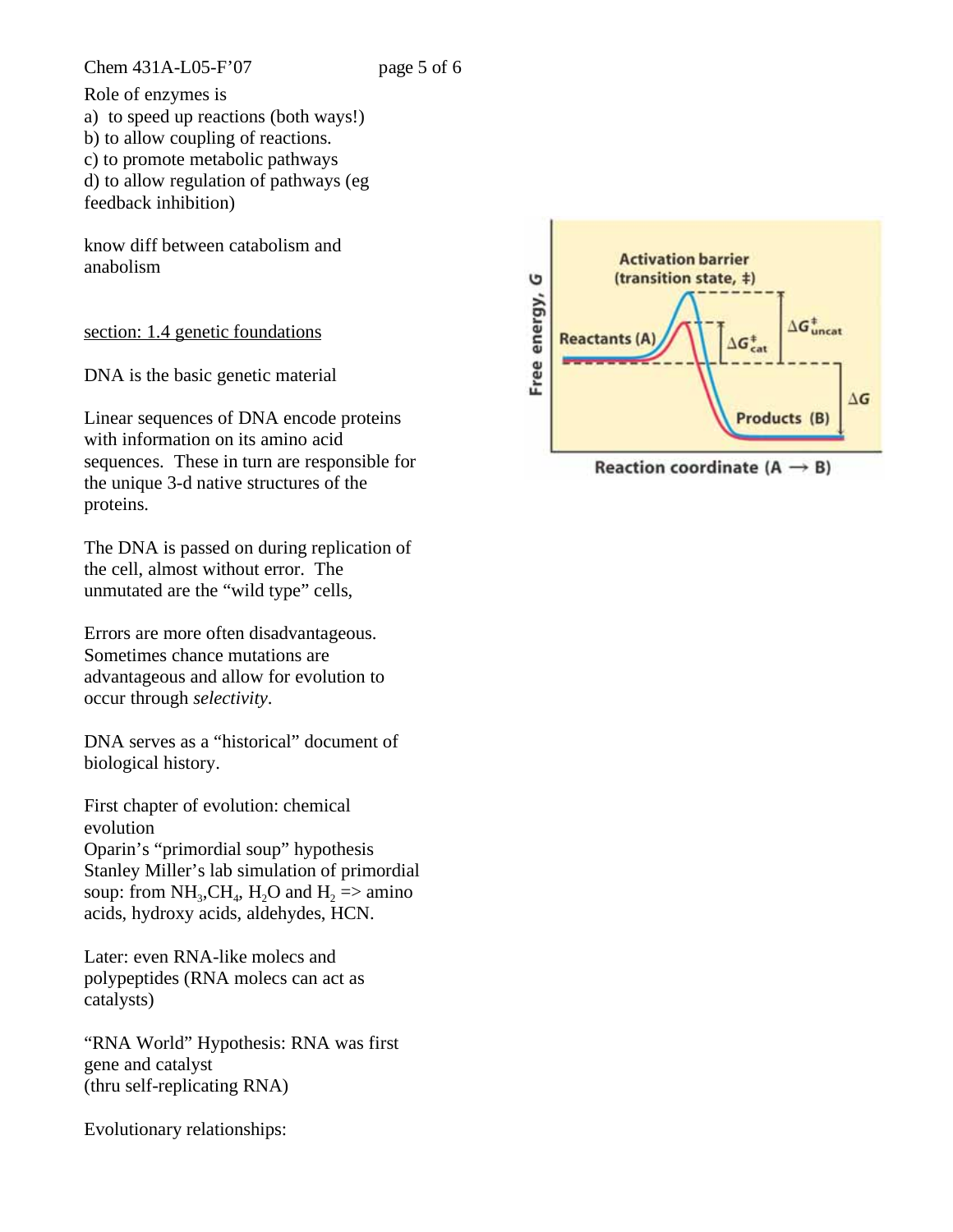Chem 431A-L05-F'07 page 5 of 6

Role of enzymes is a) to speed up reactions (both ways!) b) to allow coupling of reactions. c) to promote metabolic pathways d) to allow regulation of pathways (eg feedback inhibition)

know diff between catabolism and anabolism

section: 1.4 genetic foundations

DNA is the basic genetic material

Linear sequences of DNA encode proteins with information on its amino acid sequences. These in turn are responsible for the unique 3-d native structures of the proteins.

The DNA is passed on during replication of the cell, almost without error. The unmutated are the "wild type" cells,

Errors are more often disadvantageous. Sometimes chance mutations are advantageous and allow for evolution to occur through *selectivity*.

DNA serves as a "historical" document of biological history.

First chapter of evolution: chemical evolution Oparin's "primordial soup" hypothesis Stanley Miller's lab simulation of primordial soup: from NH<sub>3</sub>,CH<sub>4</sub>, H<sub>2</sub>O and H<sub>2</sub> => amino acids, hydroxy acids, aldehydes, HCN.

Later: even RNA-like molecs and polypeptides (RNA molecs can act as catalysts)

"RNA World" Hypothesis: RNA was first gene and catalyst (thru self-replicating RNA)

Evolutionary relationships:



Reaction coordinate (A  $\rightarrow$  B)